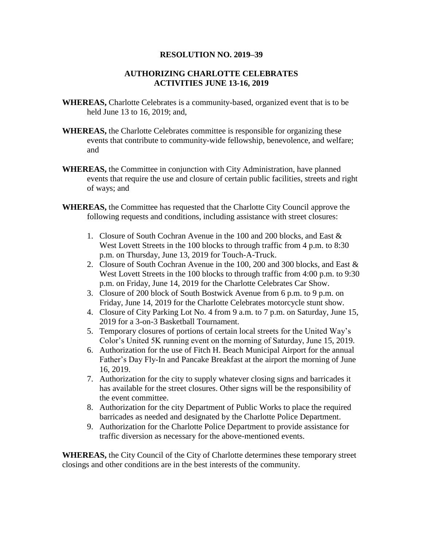## **RESOLUTION NO. 2019–39**

## **AUTHORIZING CHARLOTTE CELEBRATES ACTIVITIES JUNE 13-16, 2019**

- **WHEREAS,** Charlotte Celebrates is a community-based, organized event that is to be held June 13 to 16, 2019; and,
- **WHEREAS,** the Charlotte Celebrates committee is responsible for organizing these events that contribute to community-wide fellowship, benevolence, and welfare; and
- **WHEREAS,** the Committee in conjunction with City Administration, have planned events that require the use and closure of certain public facilities, streets and right of ways; and
- **WHEREAS,** the Committee has requested that the Charlotte City Council approve the following requests and conditions, including assistance with street closures:
	- 1. Closure of South Cochran Avenue in the 100 and 200 blocks, and East & West Lovett Streets in the 100 blocks to through traffic from 4 p.m. to 8:30 p.m. on Thursday, June 13, 2019 for Touch-A-Truck.
	- 2. Closure of South Cochran Avenue in the 100, 200 and 300 blocks, and East & West Lovett Streets in the 100 blocks to through traffic from 4:00 p.m. to 9:30 p.m. on Friday, June 14, 2019 for the Charlotte Celebrates Car Show.
	- 3. Closure of 200 block of South Bostwick Avenue from 6 p.m. to 9 p.m. on Friday, June 14, 2019 for the Charlotte Celebrates motorcycle stunt show.
	- 4. Closure of City Parking Lot No. 4 from 9 a.m. to 7 p.m. on Saturday, June 15, 2019 for a 3-on-3 Basketball Tournament.
	- 5. Temporary closures of portions of certain local streets for the United Way's Color's United 5K running event on the morning of Saturday, June 15, 2019.
	- 6. Authorization for the use of Fitch H. Beach Municipal Airport for the annual Father's Day Fly-In and Pancake Breakfast at the airport the morning of June 16, 2019.
	- 7. Authorization for the city to supply whatever closing signs and barricades it has available for the street closures. Other signs will be the responsibility of the event committee.
	- 8. Authorization for the city Department of Public Works to place the required barricades as needed and designated by the Charlotte Police Department.
	- 9. Authorization for the Charlotte Police Department to provide assistance for traffic diversion as necessary for the above-mentioned events.

**WHEREAS,** the City Council of the City of Charlotte determines these temporary street closings and other conditions are in the best interests of the community.